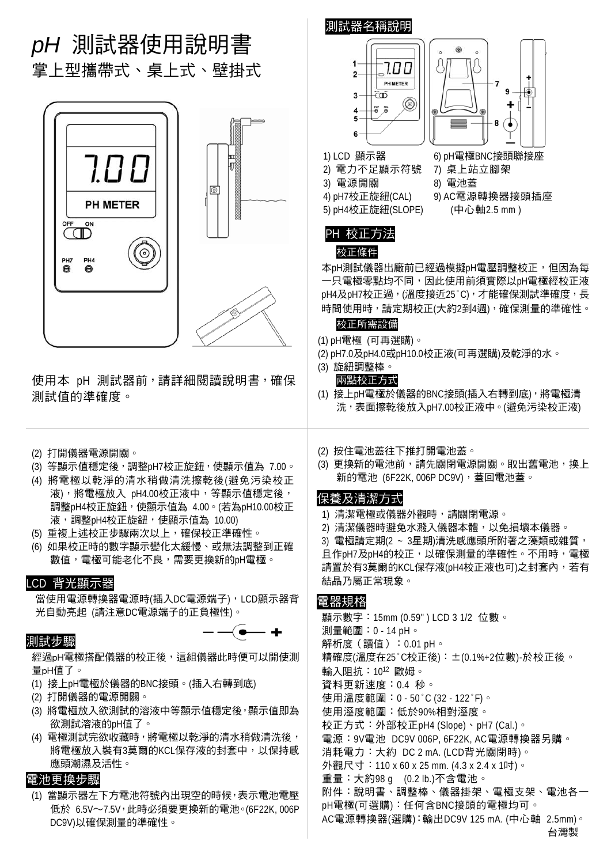

低於 6.5V∼7.5V,此時必須要更換新的電池。(6F22K, 006P DC9V)以確保測量的準確性。

### **台灣製 医血管** 医血管 医血管 医血管 医血管 医血管 医血管

AC電源轉換器(選購):輸出DC9V 125 mA. (中心軸 2.5mm)。